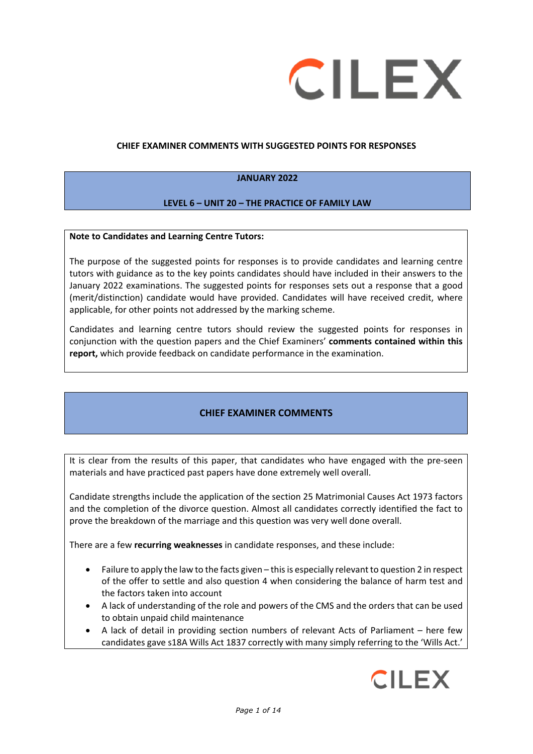

#### **CHIEF EXAMINER COMMENTS WITH SUGGESTED POINTS FOR RESPONSES**

#### **JANUARY 2022**

#### **LEVEL 6 – UNIT 20 – THE PRACTICE OF FAMILY LAW**

#### **Note to Candidates and Learning Centre Tutors:**

The purpose of the suggested points for responses is to provide candidates and learning centre tutors with guidance as to the key points candidates should have included in their answers to the January 2022 examinations. The suggested points for responses sets out a response that a good (merit/distinction) candidate would have provided. Candidates will have received credit, where applicable, for other points not addressed by the marking scheme.

Candidates and learning centre tutors should review the suggested points for responses in conjunction with the question papers and the Chief Examiners' **comments contained within this report,** which provide feedback on candidate performance in the examination.

## **CHIEF EXAMINER COMMENTS**

It is clear from the results of this paper, that candidates who have engaged with the pre-seen materials and have practiced past papers have done extremely well overall.

Candidate strengths include the application of the section 25 Matrimonial Causes Act 1973 factors and the completion of the divorce question. Almost all candidates correctly identified the fact to prove the breakdown of the marriage and this question was very well done overall.

There are a few **recurring weaknesses** in candidate responses, and these include:

- Failure to apply the law to the facts given this is especially relevant to question 2 in respect of the offer to settle and also question 4 when considering the balance of harm test and the factors taken into account
- A lack of understanding of the role and powers of the CMS and the orders that can be used to obtain unpaid child maintenance
- A lack of detail in providing section numbers of relevant Acts of Parliament here few candidates gave s18A Wills Act 1837 correctly with many simply referring to the 'Wills Act.'

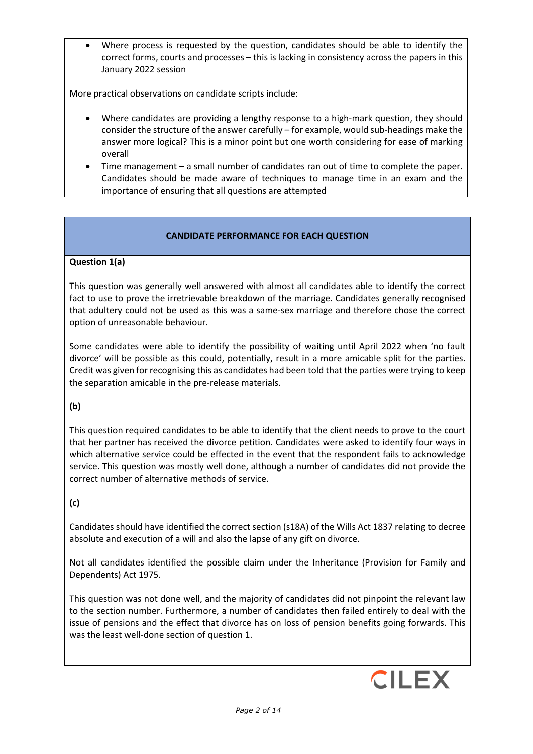Where process is requested by the question, candidates should be able to identify the correct forms, courts and processes – this is lacking in consistency across the papers in this January 2022 session

More practical observations on candidate scripts include:

- Where candidates are providing a lengthy response to a high-mark question, they should consider the structure of the answer carefully – for example, would sub-headings make the answer more logical? This is a minor point but one worth considering for ease of marking overall
- Time management a small number of candidates ran out of time to complete the paper. Candidates should be made aware of techniques to manage time in an exam and the importance of ensuring that all questions are attempted

# **CANDIDATE PERFORMANCE FOR EACH QUESTION**

## **Question 1(a)**

This question was generally well answered with almost all candidates able to identify the correct fact to use to prove the irretrievable breakdown of the marriage. Candidates generally recognised that adultery could not be used as this was a same-sex marriage and therefore chose the correct option of unreasonable behaviour.

Some candidates were able to identify the possibility of waiting until April 2022 when 'no fault divorce' will be possible as this could, potentially, result in a more amicable split for the parties. Credit was given for recognising this as candidates had been told that the parties were trying to keep the separation amicable in the pre-release materials.

## **(b)**

This question required candidates to be able to identify that the client needs to prove to the court that her partner has received the divorce petition. Candidates were asked to identify four ways in which alternative service could be effected in the event that the respondent fails to acknowledge service. This question was mostly well done, although a number of candidates did not provide the correct number of alternative methods of service.

## **(c)**

Candidates should have identified the correct section (s18A) of the Wills Act 1837 relating to decree absolute and execution of a will and also the lapse of any gift on divorce.

Not all candidates identified the possible claim under the Inheritance (Provision for Family and Dependents) Act 1975.

This question was not done well, and the majority of candidates did not pinpoint the relevant law to the section number. Furthermore, a number of candidates then failed entirely to deal with the issue of pensions and the effect that divorce has on loss of pension benefits going forwards. This was the least well-done section of question 1.

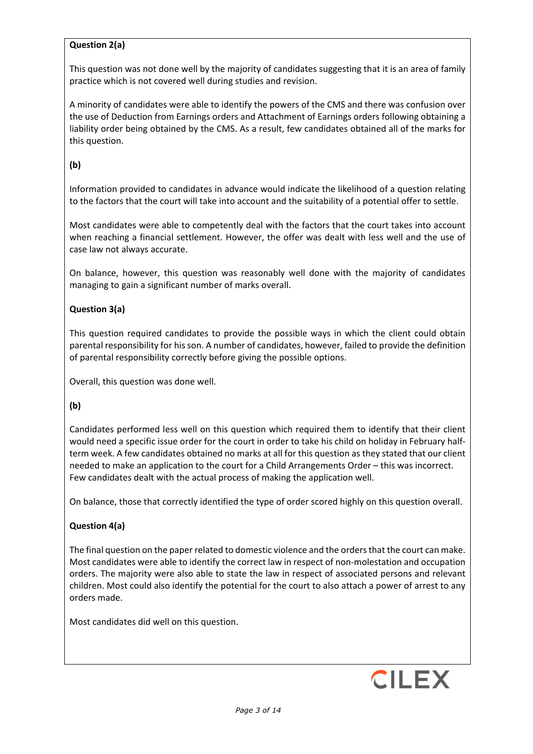# **Question 2(a)**

This question was not done well by the majority of candidates suggesting that it is an area of family practice which is not covered well during studies and revision.

A minority of candidates were able to identify the powers of the CMS and there was confusion over the use of Deduction from Earnings orders and Attachment of Earnings orders following obtaining a liability order being obtained by the CMS. As a result, few candidates obtained all of the marks for this question.

# **(b)**

Information provided to candidates in advance would indicate the likelihood of a question relating to the factors that the court will take into account and the suitability of a potential offer to settle.

Most candidates were able to competently deal with the factors that the court takes into account when reaching a financial settlement. However, the offer was dealt with less well and the use of case law not always accurate.

On balance, however, this question was reasonably well done with the majority of candidates managing to gain a significant number of marks overall.

# **Question 3(a)**

This question required candidates to provide the possible ways in which the client could obtain parental responsibility for his son. A number of candidates, however, failed to provide the definition of parental responsibility correctly before giving the possible options.

Overall, this question was done well.

## **(b)**

Candidates performed less well on this question which required them to identify that their client would need a specific issue order for the court in order to take his child on holiday in February halfterm week. A few candidates obtained no marks at all for this question as they stated that our client needed to make an application to the court for a Child Arrangements Order – this was incorrect. Few candidates dealt with the actual process of making the application well.

On balance, those that correctly identified the type of order scored highly on this question overall.

## **Question 4(a)**

The final question on the paper related to domestic violence and the orders that the court can make. Most candidates were able to identify the correct law in respect of non-molestation and occupation orders. The majority were also able to state the law in respect of associated persons and relevant children. Most could also identify the potential for the court to also attach a power of arrest to any orders made.

Most candidates did well on this question.

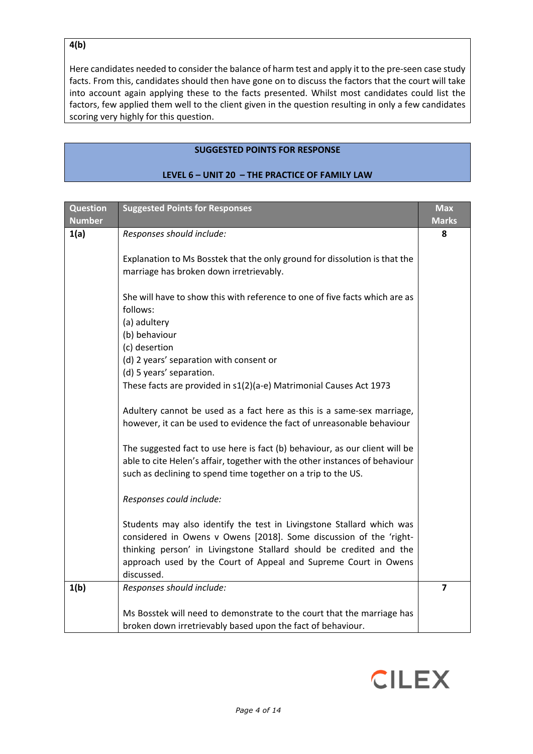# **4(b)**

Here candidates needed to consider the balance of harm test and apply it to the pre-seen case study facts. From this, candidates should then have gone on to discuss the factors that the court will take into account again applying these to the facts presented. Whilst most candidates could list the factors, few applied them well to the client given in the question resulting in only a few candidates scoring very highly for this question.

#### **SUGGESTED POINTS FOR RESPONSE**

| <b>Question</b><br><b>Number</b> | <b>Suggested Points for Responses</b>                                                                                                                                                                                                                                                               | <b>Max</b><br><b>Marks</b> |
|----------------------------------|-----------------------------------------------------------------------------------------------------------------------------------------------------------------------------------------------------------------------------------------------------------------------------------------------------|----------------------------|
| 1(a)                             | Responses should include:                                                                                                                                                                                                                                                                           | 8                          |
|                                  | Explanation to Ms Bosstek that the only ground for dissolution is that the<br>marriage has broken down irretrievably.                                                                                                                                                                               |                            |
|                                  | She will have to show this with reference to one of five facts which are as<br>follows:                                                                                                                                                                                                             |                            |
|                                  | (a) adultery<br>(b) behaviour                                                                                                                                                                                                                                                                       |                            |
|                                  | (c) desertion                                                                                                                                                                                                                                                                                       |                            |
|                                  | (d) 2 years' separation with consent or                                                                                                                                                                                                                                                             |                            |
|                                  | (d) 5 years' separation.                                                                                                                                                                                                                                                                            |                            |
|                                  | These facts are provided in s1(2)(a-e) Matrimonial Causes Act 1973                                                                                                                                                                                                                                  |                            |
|                                  | Adultery cannot be used as a fact here as this is a same-sex marriage,<br>however, it can be used to evidence the fact of unreasonable behaviour                                                                                                                                                    |                            |
|                                  | The suggested fact to use here is fact (b) behaviour, as our client will be<br>able to cite Helen's affair, together with the other instances of behaviour<br>such as declining to spend time together on a trip to the US.                                                                         |                            |
|                                  | Responses could include:                                                                                                                                                                                                                                                                            |                            |
|                                  | Students may also identify the test in Livingstone Stallard which was<br>considered in Owens v Owens [2018]. Some discussion of the 'right-<br>thinking person' in Livingstone Stallard should be credited and the<br>approach used by the Court of Appeal and Supreme Court in Owens<br>discussed. |                            |
| 1(b)                             | Responses should include:                                                                                                                                                                                                                                                                           | 7                          |
|                                  | Ms Bosstek will need to demonstrate to the court that the marriage has<br>broken down irretrievably based upon the fact of behaviour.                                                                                                                                                               |                            |

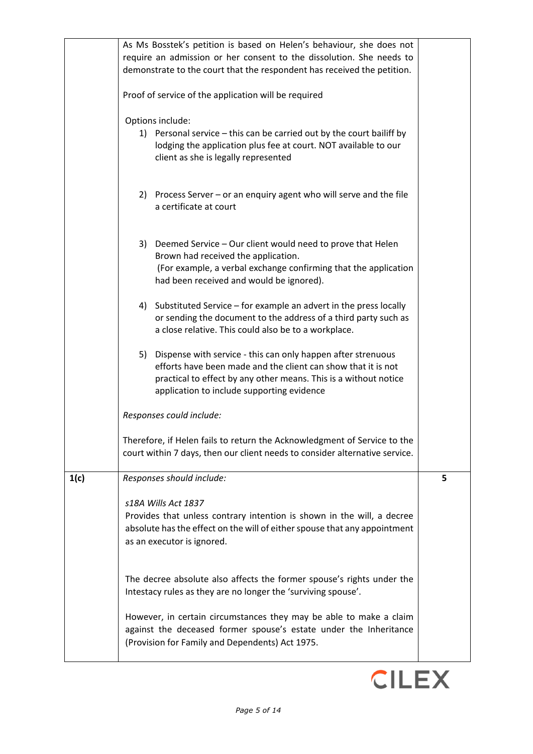|      | As Ms Bosstek's petition is based on Helen's behaviour, she does not<br>require an admission or her consent to the dissolution. She needs to<br>demonstrate to the court that the respondent has received the petition.<br>Proof of service of the application will be required |   |
|------|---------------------------------------------------------------------------------------------------------------------------------------------------------------------------------------------------------------------------------------------------------------------------------|---|
|      | Options include:<br>1) Personal service - this can be carried out by the court bailiff by<br>lodging the application plus fee at court. NOT available to our<br>client as she is legally represented                                                                            |   |
|      | 2) Process Server – or an enquiry agent who will serve and the file<br>a certificate at court                                                                                                                                                                                   |   |
|      | 3) Deemed Service - Our client would need to prove that Helen<br>Brown had received the application.<br>(For example, a verbal exchange confirming that the application<br>had been received and would be ignored).                                                             |   |
|      | 4) Substituted Service - for example an advert in the press locally<br>or sending the document to the address of a third party such as<br>a close relative. This could also be to a workplace.                                                                                  |   |
|      | Dispense with service - this can only happen after strenuous<br>5)<br>efforts have been made and the client can show that it is not<br>practical to effect by any other means. This is a without notice<br>application to include supporting evidence                           |   |
|      | Responses could include:                                                                                                                                                                                                                                                        |   |
|      | Therefore, if Helen fails to return the Acknowledgment of Service to the<br>court within 7 days, then our client needs to consider alternative service.                                                                                                                         |   |
| 1(c) | Responses should include:                                                                                                                                                                                                                                                       | 5 |
|      | s18A Wills Act 1837<br>Provides that unless contrary intention is shown in the will, a decree<br>absolute has the effect on the will of either spouse that any appointment<br>as an executor is ignored.                                                                        |   |
|      | The decree absolute also affects the former spouse's rights under the<br>Intestacy rules as they are no longer the 'surviving spouse'.                                                                                                                                          |   |
|      | However, in certain circumstances they may be able to make a claim<br>against the deceased former spouse's estate under the Inheritance<br>(Provision for Family and Dependents) Act 1975.                                                                                      |   |

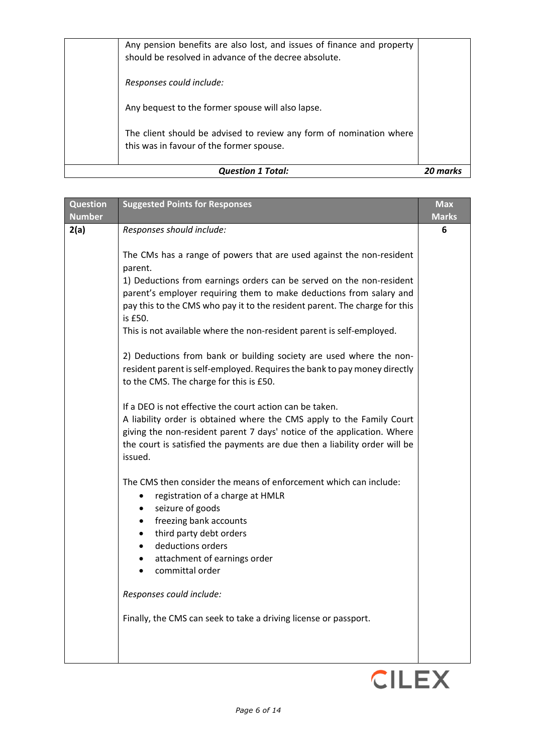| The client should be advised to review any form of nomination where<br>this was in favour of the former spouse.<br><b>Question 1 Total:</b> |  |
|---------------------------------------------------------------------------------------------------------------------------------------------|--|
| Any bequest to the former spouse will also lapse.                                                                                           |  |
| Responses could include:                                                                                                                    |  |
| Any pension benefits are also lost, and issues of finance and property<br>should be resolved in advance of the decree absolute.             |  |

| <b>Question</b> | <b>Suggested Points for Responses</b>                                                 | <b>Max</b>   |
|-----------------|---------------------------------------------------------------------------------------|--------------|
| <b>Number</b>   |                                                                                       | <b>Marks</b> |
| 2(a)            | Responses should include:                                                             | 6            |
|                 |                                                                                       |              |
|                 | The CMs has a range of powers that are used against the non-resident                  |              |
|                 | parent.                                                                               |              |
|                 | 1) Deductions from earnings orders can be served on the non-resident                  |              |
|                 | parent's employer requiring them to make deductions from salary and                   |              |
|                 | pay this to the CMS who pay it to the resident parent. The charge for this<br>is £50. |              |
|                 | This is not available where the non-resident parent is self-employed.                 |              |
|                 |                                                                                       |              |
|                 | 2) Deductions from bank or building society are used where the non-                   |              |
|                 | resident parent is self-employed. Requires the bank to pay money directly             |              |
|                 | to the CMS. The charge for this is £50.                                               |              |
|                 |                                                                                       |              |
|                 | If a DEO is not effective the court action can be taken.                              |              |
|                 | A liability order is obtained where the CMS apply to the Family Court                 |              |
|                 | giving the non-resident parent 7 days' notice of the application. Where               |              |
|                 | the court is satisfied the payments are due then a liability order will be            |              |
|                 | issued.                                                                               |              |
|                 | The CMS then consider the means of enforcement which can include:                     |              |
|                 | registration of a charge at HMLR<br>٠                                                 |              |
|                 | seizure of goods<br>٠                                                                 |              |
|                 | freezing bank accounts<br>٠                                                           |              |
|                 | third party debt orders                                                               |              |
|                 | deductions orders                                                                     |              |
|                 | attachment of earnings order                                                          |              |
|                 | committal order                                                                       |              |
|                 |                                                                                       |              |
|                 | Responses could include:                                                              |              |
|                 | Finally, the CMS can seek to take a driving license or passport.                      |              |
|                 |                                                                                       |              |
|                 |                                                                                       |              |
|                 |                                                                                       |              |

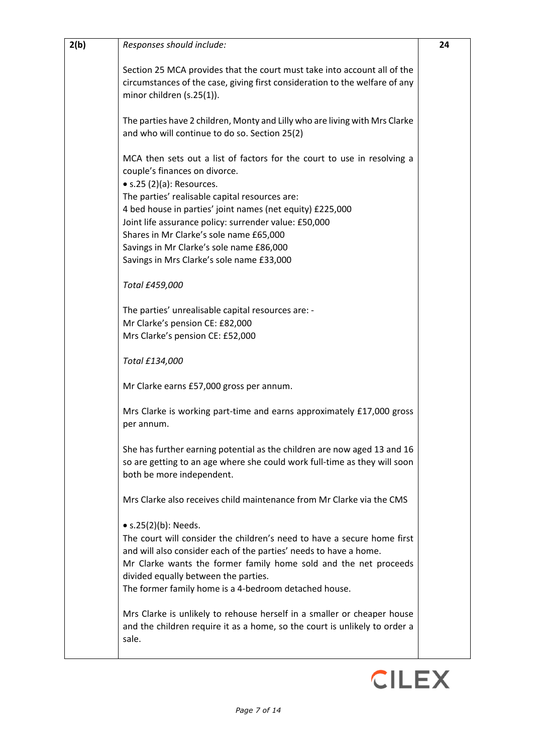| 2(b) | Responses should include:                                                                                                                                                                                                                                                                                                                    | 24 |
|------|----------------------------------------------------------------------------------------------------------------------------------------------------------------------------------------------------------------------------------------------------------------------------------------------------------------------------------------------|----|
|      | Section 25 MCA provides that the court must take into account all of the<br>circumstances of the case, giving first consideration to the welfare of any<br>minor children (s.25(1)).                                                                                                                                                         |    |
|      | The parties have 2 children, Monty and Lilly who are living with Mrs Clarke<br>and who will continue to do so. Section 25(2)                                                                                                                                                                                                                 |    |
|      | MCA then sets out a list of factors for the court to use in resolving a<br>couple's finances on divorce.<br>$\bullet$ s.25 (2)(a): Resources.                                                                                                                                                                                                |    |
|      | The parties' realisable capital resources are:<br>4 bed house in parties' joint names (net equity) £225,000<br>Joint life assurance policy: surrender value: £50,000<br>Shares in Mr Clarke's sole name £65,000<br>Savings in Mr Clarke's sole name £86,000                                                                                  |    |
|      | Savings in Mrs Clarke's sole name £33,000<br>Total £459,000                                                                                                                                                                                                                                                                                  |    |
|      | The parties' unrealisable capital resources are: -<br>Mr Clarke's pension CE: £82,000<br>Mrs Clarke's pension CE: £52,000                                                                                                                                                                                                                    |    |
|      | Total £134,000                                                                                                                                                                                                                                                                                                                               |    |
|      | Mr Clarke earns £57,000 gross per annum.                                                                                                                                                                                                                                                                                                     |    |
|      | Mrs Clarke is working part-time and earns approximately £17,000 gross<br>per annum.                                                                                                                                                                                                                                                          |    |
|      | She has further earning potential as the children are now aged 13 and 16<br>so are getting to an age where she could work full-time as they will soon<br>both be more independent.                                                                                                                                                           |    |
|      | Mrs Clarke also receives child maintenance from Mr Clarke via the CMS                                                                                                                                                                                                                                                                        |    |
|      | • $s.25(2)(b)$ : Needs.<br>The court will consider the children's need to have a secure home first<br>and will also consider each of the parties' needs to have a home.<br>Mr Clarke wants the former family home sold and the net proceeds<br>divided equally between the parties.<br>The former family home is a 4-bedroom detached house. |    |
|      | Mrs Clarke is unlikely to rehouse herself in a smaller or cheaper house<br>and the children require it as a home, so the court is unlikely to order a<br>sale.                                                                                                                                                                               |    |

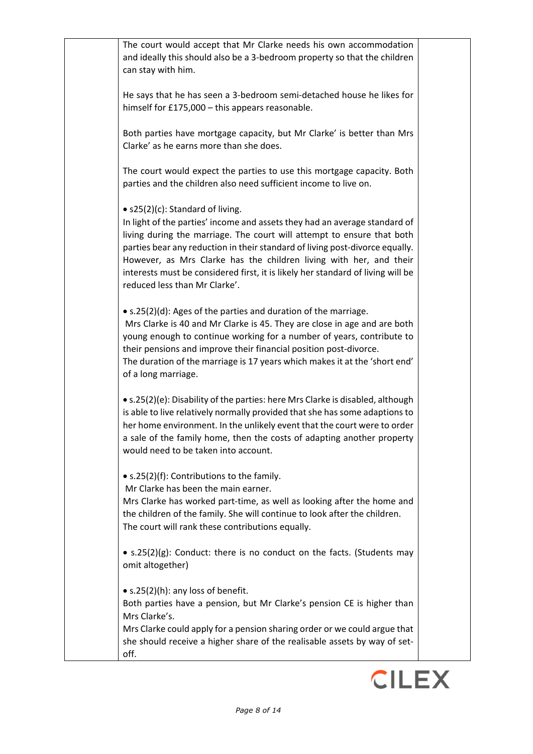The court would accept that Mr Clarke needs his own accommodation and ideally this should also be a 3-bedroom property so that the children can stay with him.

He says that he has seen a 3-bedroom semi-detached house he likes for himself for £175,000 – this appears reasonable.

Both parties have mortgage capacity, but Mr Clarke' is better than Mrs Clarke' as he earns more than she does.

The court would expect the parties to use this mortgage capacity. Both parties and the children also need sufficient income to live on.

• s25(2)(c): Standard of living.

In light of the parties' income and assets they had an average standard of living during the marriage. The court will attempt to ensure that both parties bear any reduction in their standard of living post-divorce equally. However, as Mrs Clarke has the children living with her, and their interests must be considered first, it is likely her standard of living will be reduced less than Mr Clarke'.

• s.25(2)(d): Ages of the parties and duration of the marriage.

Mrs Clarke is 40 and Mr Clarke is 45. They are close in age and are both young enough to continue working for a number of years, contribute to their pensions and improve their financial position post-divorce. The duration of the marriage is 17 years which makes it at the 'short end' of a long marriage.

• s.25(2)(e): Disability of the parties: here Mrs Clarke is disabled, although is able to live relatively normally provided that she has some adaptions to her home environment. In the unlikely event that the court were to order a sale of the family home, then the costs of adapting another property would need to be taken into account.

• s.25(2)(f): Contributions to the family.

Mr Clarke has been the main earner.

Mrs Clarke has worked part-time, as well as looking after the home and the children of the family. She will continue to look after the children. The court will rank these contributions equally.

• s.25(2)(g): Conduct: there is no conduct on the facts. (Students may omit altogether)

• s.25(2)(h): any loss of benefit.

Both parties have a pension, but Mr Clarke's pension CE is higher than Mrs Clarke's.

Mrs Clarke could apply for a pension sharing order or we could argue that she should receive a higher share of the realisable assets by way of setoff.

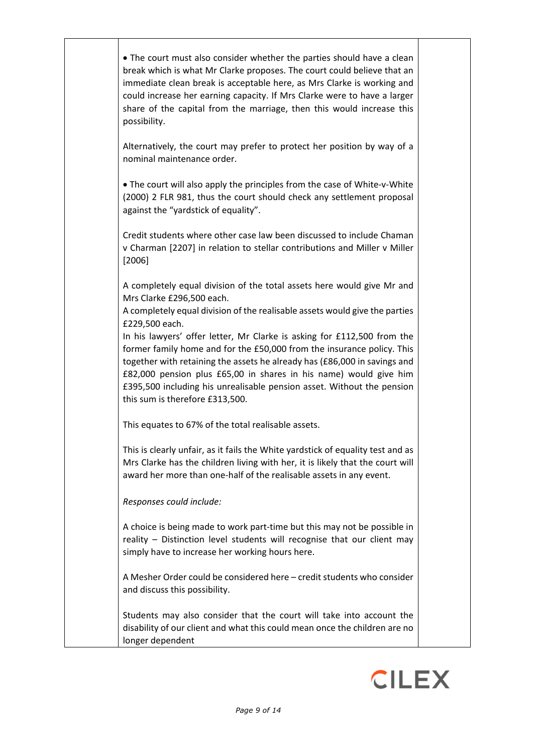| • The court must also consider whether the parties should have a clean<br>break which is what Mr Clarke proposes. The court could believe that an<br>immediate clean break is acceptable here, as Mrs Clarke is working and<br>could increase her earning capacity. If Mrs Clarke were to have a larger<br>share of the capital from the marriage, then this would increase this<br>possibility.                                   |  |
|------------------------------------------------------------------------------------------------------------------------------------------------------------------------------------------------------------------------------------------------------------------------------------------------------------------------------------------------------------------------------------------------------------------------------------|--|
| Alternatively, the court may prefer to protect her position by way of a<br>nominal maintenance order.                                                                                                                                                                                                                                                                                                                              |  |
| • The court will also apply the principles from the case of White-v-White<br>(2000) 2 FLR 981, thus the court should check any settlement proposal<br>against the "yardstick of equality".                                                                                                                                                                                                                                         |  |
| Credit students where other case law been discussed to include Chaman<br>v Charman [2207] in relation to stellar contributions and Miller v Miller<br>[2006]                                                                                                                                                                                                                                                                       |  |
| A completely equal division of the total assets here would give Mr and<br>Mrs Clarke £296,500 each.<br>A completely equal division of the realisable assets would give the parties                                                                                                                                                                                                                                                 |  |
| £229,500 each.<br>In his lawyers' offer letter, Mr Clarke is asking for £112,500 from the<br>former family home and for the £50,000 from the insurance policy. This<br>together with retaining the assets he already has (£86,000 in savings and<br>£82,000 pension plus £65,00 in shares in his name) would give him<br>£395,500 including his unrealisable pension asset. Without the pension<br>this sum is therefore £313,500. |  |
| This equates to 67% of the total realisable assets.                                                                                                                                                                                                                                                                                                                                                                                |  |
| This is clearly unfair, as it fails the White yardstick of equality test and as<br>Mrs Clarke has the children living with her, it is likely that the court will<br>award her more than one-half of the realisable assets in any event.                                                                                                                                                                                            |  |
| Responses could include:                                                                                                                                                                                                                                                                                                                                                                                                           |  |
| A choice is being made to work part-time but this may not be possible in<br>reality - Distinction level students will recognise that our client may<br>simply have to increase her working hours here.                                                                                                                                                                                                                             |  |
| A Mesher Order could be considered here - credit students who consider<br>and discuss this possibility.                                                                                                                                                                                                                                                                                                                            |  |
| Students may also consider that the court will take into account the<br>disability of our client and what this could mean once the children are no<br>longer dependent                                                                                                                                                                                                                                                             |  |

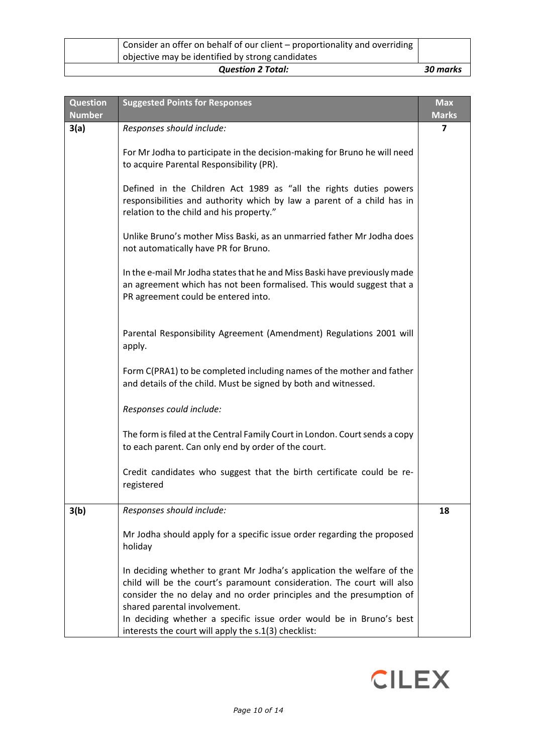| Consider an offer on behalf of our client – proportionality and overriding  <br>objective may be identified by strong candidates |          |
|----------------------------------------------------------------------------------------------------------------------------------|----------|
| <b>Question 2 Total:</b>                                                                                                         | 30 marks |

| <b>Question</b><br><b>Number</b> | <b>Suggested Points for Responses</b>                                                                                                                                                                                                                                                                                                                                                   | <b>Max</b><br><b>Marks</b> |
|----------------------------------|-----------------------------------------------------------------------------------------------------------------------------------------------------------------------------------------------------------------------------------------------------------------------------------------------------------------------------------------------------------------------------------------|----------------------------|
| 3(a)                             | Responses should include:                                                                                                                                                                                                                                                                                                                                                               | 7                          |
|                                  | For Mr Jodha to participate in the decision-making for Bruno he will need<br>to acquire Parental Responsibility (PR).                                                                                                                                                                                                                                                                   |                            |
|                                  | Defined in the Children Act 1989 as "all the rights duties powers<br>responsibilities and authority which by law a parent of a child has in<br>relation to the child and his property."                                                                                                                                                                                                 |                            |
|                                  | Unlike Bruno's mother Miss Baski, as an unmarried father Mr Jodha does<br>not automatically have PR for Bruno.                                                                                                                                                                                                                                                                          |                            |
|                                  | In the e-mail Mr Jodha states that he and Miss Baski have previously made<br>an agreement which has not been formalised. This would suggest that a<br>PR agreement could be entered into.                                                                                                                                                                                               |                            |
|                                  | Parental Responsibility Agreement (Amendment) Regulations 2001 will<br>apply.                                                                                                                                                                                                                                                                                                           |                            |
|                                  | Form C(PRA1) to be completed including names of the mother and father<br>and details of the child. Must be signed by both and witnessed.                                                                                                                                                                                                                                                |                            |
|                                  | Responses could include:                                                                                                                                                                                                                                                                                                                                                                |                            |
|                                  | The form is filed at the Central Family Court in London. Court sends a copy<br>to each parent. Can only end by order of the court.                                                                                                                                                                                                                                                      |                            |
|                                  | Credit candidates who suggest that the birth certificate could be re-<br>registered                                                                                                                                                                                                                                                                                                     |                            |
| 3(b)                             | Responses should include:                                                                                                                                                                                                                                                                                                                                                               | 18                         |
|                                  | Mr Jodha should apply for a specific issue order regarding the proposed<br>holiday                                                                                                                                                                                                                                                                                                      |                            |
|                                  | In deciding whether to grant Mr Jodha's application the welfare of the<br>child will be the court's paramount consideration. The court will also<br>consider the no delay and no order principles and the presumption of<br>shared parental involvement.<br>In deciding whether a specific issue order would be in Bruno's best<br>interests the court will apply the s.1(3) checklist: |                            |

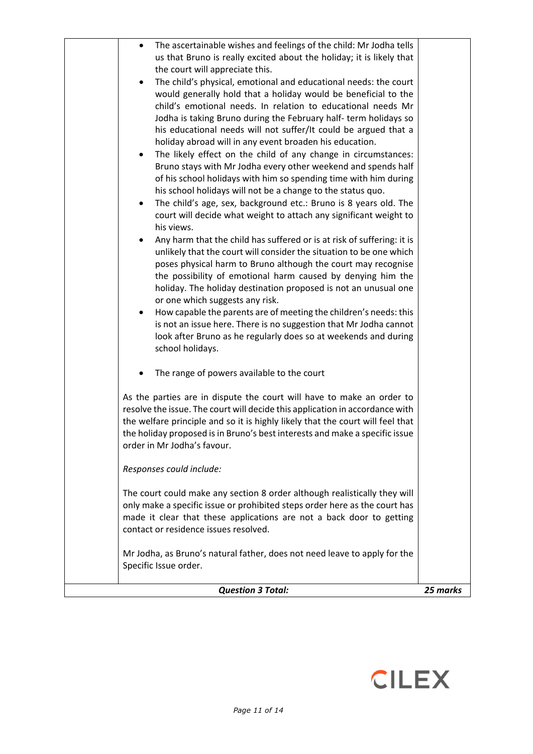| <b>Question 3 Total:</b>                                                                                                                                                                                                                                                                                                                                                                                                                                                                                                                                                                                                                                                                                                                                                                                                                                                                                                         | 25 marks |
|----------------------------------------------------------------------------------------------------------------------------------------------------------------------------------------------------------------------------------------------------------------------------------------------------------------------------------------------------------------------------------------------------------------------------------------------------------------------------------------------------------------------------------------------------------------------------------------------------------------------------------------------------------------------------------------------------------------------------------------------------------------------------------------------------------------------------------------------------------------------------------------------------------------------------------|----------|
| Mr Jodha, as Bruno's natural father, does not need leave to apply for the<br>Specific Issue order.                                                                                                                                                                                                                                                                                                                                                                                                                                                                                                                                                                                                                                                                                                                                                                                                                               |          |
| The court could make any section 8 order although realistically they will<br>only make a specific issue or prohibited steps order here as the court has<br>made it clear that these applications are not a back door to getting<br>contact or residence issues resolved.                                                                                                                                                                                                                                                                                                                                                                                                                                                                                                                                                                                                                                                         |          |
| Responses could include:                                                                                                                                                                                                                                                                                                                                                                                                                                                                                                                                                                                                                                                                                                                                                                                                                                                                                                         |          |
| As the parties are in dispute the court will have to make an order to<br>resolve the issue. The court will decide this application in accordance with<br>the welfare principle and so it is highly likely that the court will feel that<br>the holiday proposed is in Bruno's best interests and make a specific issue<br>order in Mr Jodha's favour.                                                                                                                                                                                                                                                                                                                                                                                                                                                                                                                                                                            |          |
| The range of powers available to the court                                                                                                                                                                                                                                                                                                                                                                                                                                                                                                                                                                                                                                                                                                                                                                                                                                                                                       |          |
| of his school holidays with him so spending time with him during<br>his school holidays will not be a change to the status quo.<br>The child's age, sex, background etc.: Bruno is 8 years old. The<br>٠<br>court will decide what weight to attach any significant weight to<br>his views.<br>Any harm that the child has suffered or is at risk of suffering: it is<br>$\bullet$<br>unlikely that the court will consider the situation to be one which<br>poses physical harm to Bruno although the court may recognise<br>the possibility of emotional harm caused by denying him the<br>holiday. The holiday destination proposed is not an unusual one<br>or one which suggests any risk.<br>How capable the parents are of meeting the children's needs: this<br>is not an issue here. There is no suggestion that Mr Jodha cannot<br>look after Bruno as he regularly does so at weekends and during<br>school holidays. |          |
| us that Bruno is really excited about the holiday; it is likely that<br>the court will appreciate this.<br>The child's physical, emotional and educational needs: the court<br>would generally hold that a holiday would be beneficial to the<br>child's emotional needs. In relation to educational needs Mr<br>Jodha is taking Bruno during the February half-term holidays so<br>his educational needs will not suffer/It could be argued that a<br>holiday abroad will in any event broaden his education.<br>The likely effect on the child of any change in circumstances:<br>٠<br>Bruno stays with Mr Jodha every other weekend and spends half                                                                                                                                                                                                                                                                           |          |
| The ascertainable wishes and feelings of the child: Mr Jodha tells<br>٠                                                                                                                                                                                                                                                                                                                                                                                                                                                                                                                                                                                                                                                                                                                                                                                                                                                          |          |

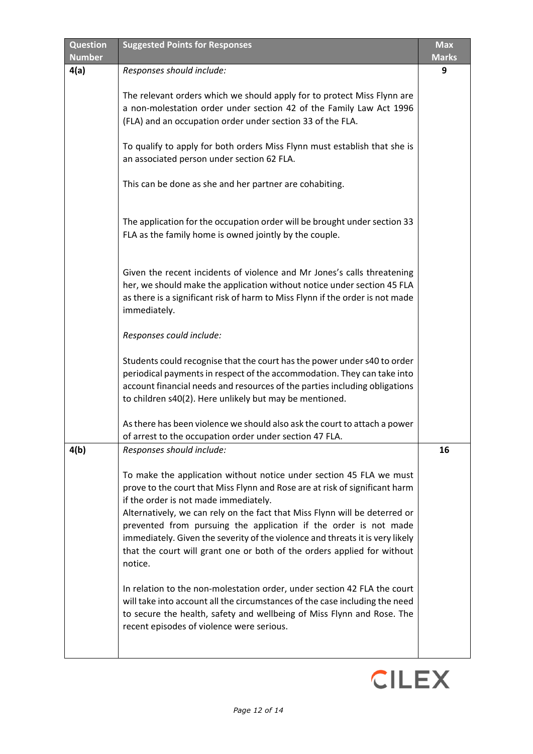| <b>Question</b> | <b>Suggested Points for Responses</b>                                                                                                                                                                                                                                                                                                                                                                                                                                                                                | <b>Max</b>   |
|-----------------|----------------------------------------------------------------------------------------------------------------------------------------------------------------------------------------------------------------------------------------------------------------------------------------------------------------------------------------------------------------------------------------------------------------------------------------------------------------------------------------------------------------------|--------------|
| <b>Number</b>   |                                                                                                                                                                                                                                                                                                                                                                                                                                                                                                                      | <b>Marks</b> |
| 4(a)            | Responses should include:                                                                                                                                                                                                                                                                                                                                                                                                                                                                                            | 9            |
|                 | The relevant orders which we should apply for to protect Miss Flynn are<br>a non-molestation order under section 42 of the Family Law Act 1996<br>(FLA) and an occupation order under section 33 of the FLA.                                                                                                                                                                                                                                                                                                         |              |
|                 | To qualify to apply for both orders Miss Flynn must establish that she is<br>an associated person under section 62 FLA.                                                                                                                                                                                                                                                                                                                                                                                              |              |
|                 | This can be done as she and her partner are cohabiting.                                                                                                                                                                                                                                                                                                                                                                                                                                                              |              |
|                 | The application for the occupation order will be brought under section 33<br>FLA as the family home is owned jointly by the couple.                                                                                                                                                                                                                                                                                                                                                                                  |              |
|                 | Given the recent incidents of violence and Mr Jones's calls threatening<br>her, we should make the application without notice under section 45 FLA<br>as there is a significant risk of harm to Miss Flynn if the order is not made<br>immediately.                                                                                                                                                                                                                                                                  |              |
|                 | Responses could include:                                                                                                                                                                                                                                                                                                                                                                                                                                                                                             |              |
|                 | Students could recognise that the court has the power under s40 to order<br>periodical payments in respect of the accommodation. They can take into<br>account financial needs and resources of the parties including obligations<br>to children s40(2). Here unlikely but may be mentioned.                                                                                                                                                                                                                         |              |
|                 | As there has been violence we should also ask the court to attach a power<br>of arrest to the occupation order under section 47 FLA.                                                                                                                                                                                                                                                                                                                                                                                 |              |
| 4(b)            | Responses should include:                                                                                                                                                                                                                                                                                                                                                                                                                                                                                            | 16           |
|                 | To make the application without notice under section 45 FLA we must<br>prove to the court that Miss Flynn and Rose are at risk of significant harm<br>if the order is not made immediately.<br>Alternatively, we can rely on the fact that Miss Flynn will be deterred or<br>prevented from pursuing the application if the order is not made<br>immediately. Given the severity of the violence and threats it is very likely<br>that the court will grant one or both of the orders applied for without<br>notice. |              |
|                 | In relation to the non-molestation order, under section 42 FLA the court<br>will take into account all the circumstances of the case including the need<br>to secure the health, safety and wellbeing of Miss Flynn and Rose. The<br>recent episodes of violence were serious.                                                                                                                                                                                                                                       |              |

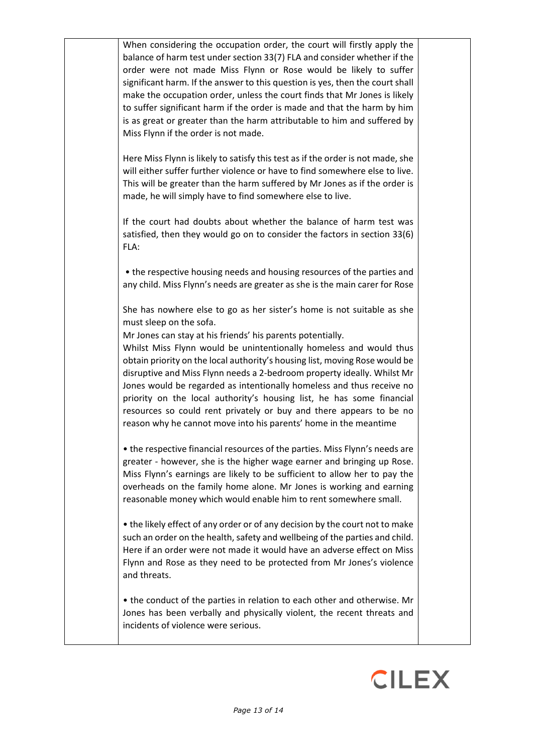When considering the occupation order, the court will firstly apply the balance of harm test under section 33(7) FLA and consider whether if the order were not made Miss Flynn or Rose would be likely to suffer significant harm. If the answer to this question is yes, then the court shall make the occupation order, unless the court finds that Mr Jones is likely to suffer significant harm if the order is made and that the harm by him is as great or greater than the harm attributable to him and suffered by Miss Flynn if the order is not made.

Here Miss Flynn is likely to satisfy this test as if the order is not made, she will either suffer further violence or have to find somewhere else to live. This will be greater than the harm suffered by Mr Jones as if the order is made, he will simply have to find somewhere else to live.

If the court had doubts about whether the balance of harm test was satisfied, then they would go on to consider the factors in section 33(6) FLA:

• the respective housing needs and housing resources of the parties and any child. Miss Flynn's needs are greater as she is the main carer for Rose

She has nowhere else to go as her sister's home is not suitable as she must sleep on the sofa.

Mr Jones can stay at his friends' his parents potentially.

Whilst Miss Flynn would be unintentionally homeless and would thus obtain priority on the local authority's housing list, moving Rose would be disruptive and Miss Flynn needs a 2-bedroom property ideally. Whilst Mr Jones would be regarded as intentionally homeless and thus receive no priority on the local authority's housing list, he has some financial resources so could rent privately or buy and there appears to be no reason why he cannot move into his parents' home in the meantime

• the respective financial resources of the parties. Miss Flynn's needs are greater - however, she is the higher wage earner and bringing up Rose. Miss Flynn's earnings are likely to be sufficient to allow her to pay the overheads on the family home alone. Mr Jones is working and earning reasonable money which would enable him to rent somewhere small.

• the likely effect of any order or of any decision by the court not to make such an order on the health, safety and wellbeing of the parties and child. Here if an order were not made it would have an adverse effect on Miss Flynn and Rose as they need to be protected from Mr Jones's violence and threats.

• the conduct of the parties in relation to each other and otherwise. Mr Jones has been verbally and physically violent, the recent threats and incidents of violence were serious.